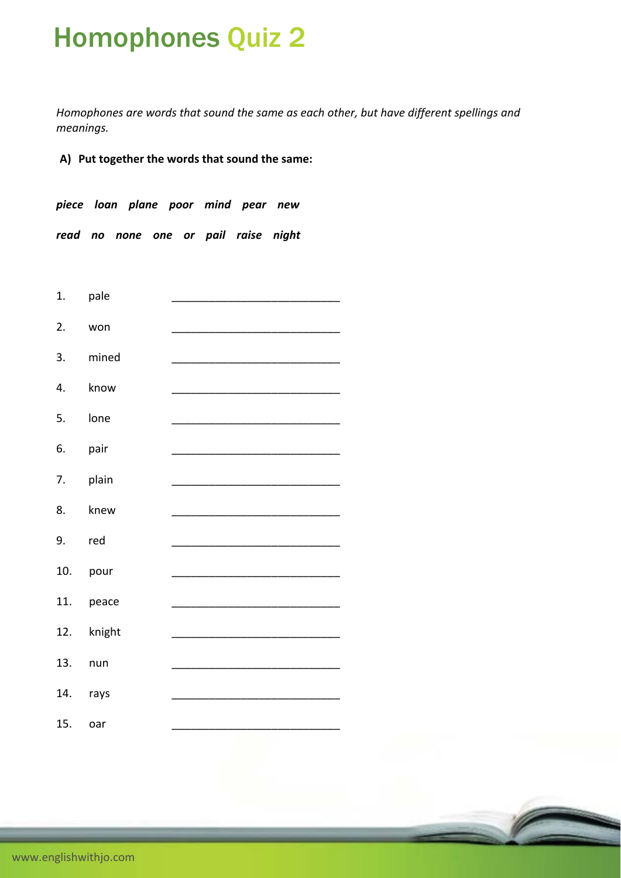## Homophones Quiz 2

*Homophones are words that sound the same as each other, but have different spellings and*  $meanings.$ 

**A) Put together the words that sound the same:** 

*piece loan plane poor mind pear new read no none one or pail raise night* 



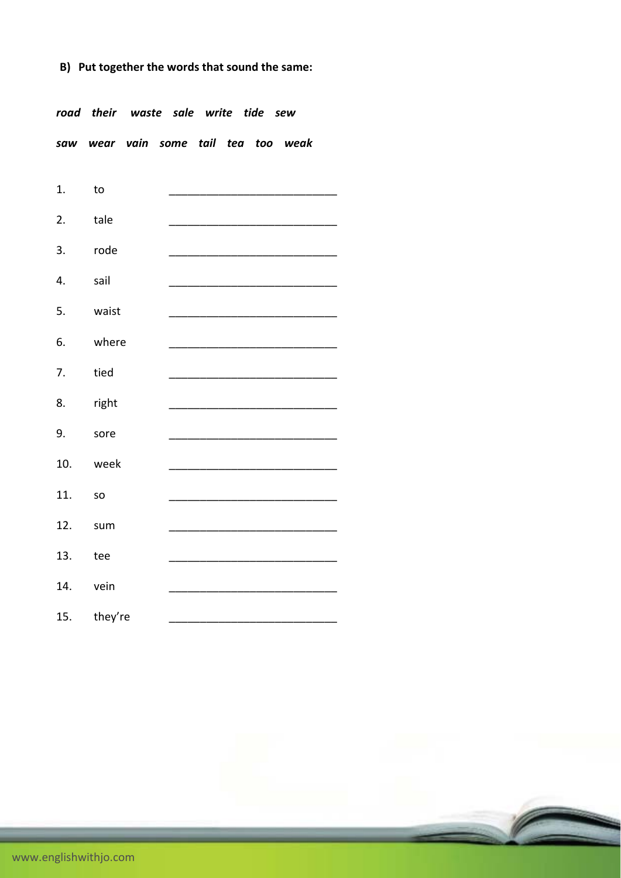## **B) Put together the words that sound the same:**

*road their waste sale write tide sew saw wear vain some tail tea too weak*